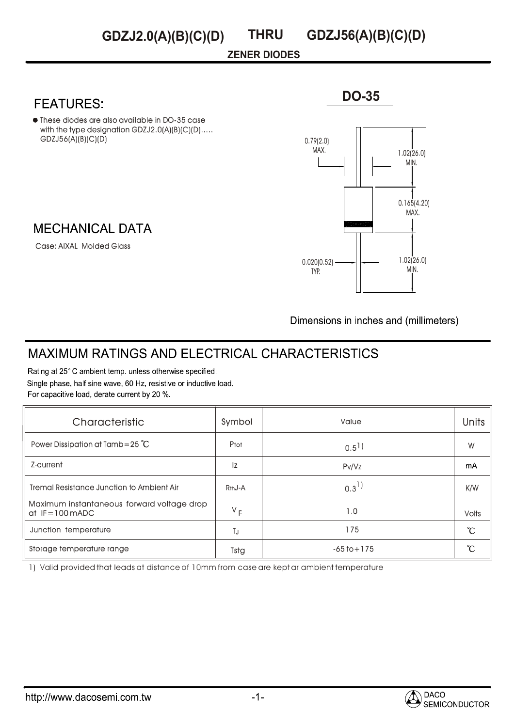## **ZENER DIODES**

These diodes are also available in DO-35 case with the type designation GDZJ2.0(A)(B)(C)(D)..... GDZJ56(A)(B)(C)(D)

## **MECHANICAL DATA**

Case: AIXAL Molded Glass



Dimensions in inches and (millimeters)

# **MAXIMUM RATINGS AND ELECTRICAL CHARACTERISTICS**

Rating at 25°C ambient temp. unless otherwise specified. Single phase, half sine wave, 60 Hz, resistive or inductive load. For capacitive load, derate current by 20 %.

| Characteristic                                                 | Symbol              | Value              | <b>Units</b> |
|----------------------------------------------------------------|---------------------|--------------------|--------------|
| Power Dissipation at Tamb=25 $^{\circ}$ C                      | Ptot                | $0.5$ <sup>1</sup> | W            |
| Z-current                                                      | Iz                  | Pv/Vz              | mA           |
| <b>Tremal Resistance Junction to Ambient Air</b>               | R <sub>th</sub> J-A | $0.3^{1}$          | K/W          |
| Maximum instantaneous forward voltage drop<br>$dt$ IF=100 mADC | $V_F$               | 1.0                | <b>Volts</b> |
| Junction temperature                                           | TJ                  | 175                | °C           |
| Storage temperature range                                      | Tstg                | $-65$ to $+175$    | °C           |

1) Valid provided that leads at distance of 10mm from case are kept ar ambient temperature



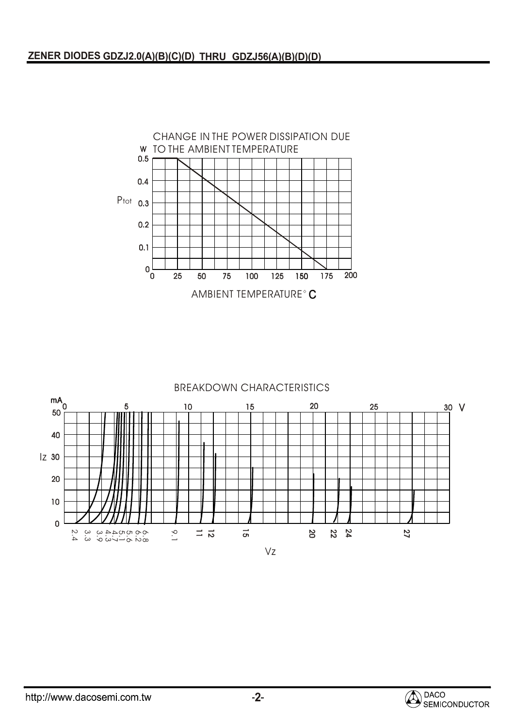

### BREAKDOWN CHARACTERISTICS



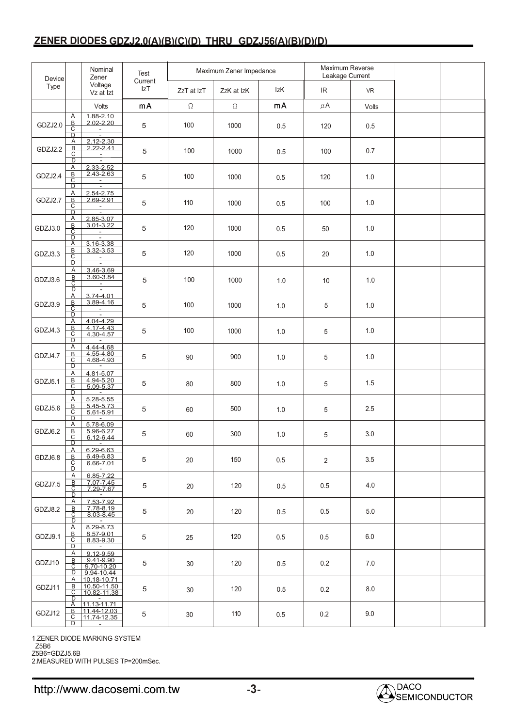## **ZENER DIODES GDZJ2.0(A)(B)(C)(D) THRU GDZJ56(A)(B)(D)(D)**

| Device  |                                                     | Nominal<br>Zener                                               | Test           | Maximum Zener Impedance |            |     | Maximum Reverse<br>Leakage Current |           |  |
|---------|-----------------------------------------------------|----------------------------------------------------------------|----------------|-------------------------|------------|-----|------------------------------------|-----------|--|
| Type    |                                                     | Voltage<br>Vz at Izt                                           | Current<br>IzT | ZzT at IzT              | ZzK at IzK | IzK | IR                                 | <b>VR</b> |  |
|         |                                                     | Volts                                                          | mA             | $\Omega$                | $\Omega$   | mA  | $\mu$ A                            | Volts     |  |
| GDZJ2.0 | Α<br>$rac{B}{C}$<br>D                               | $1.88 - 2.10$<br>$2.02 - 2.20$<br>$\blacksquare$<br>$\sim$     | 5              | 100                     | 1000       | 0.5 | 120                                | 0.5       |  |
| GDZJ2.2 | Α<br>$\mathsf B$<br>ᠸ<br>₽                          | $2.12 - 2.30$<br>$2.22 - 2.41$<br>È                            | 5              | 100                     | 1000       | 0.5 | 100                                | 0.7       |  |
| GDZJ2.4 | Α<br>$\overline{B}$<br>ᠸ<br>D                       | 2.33-2.52<br>2.43-2.63<br>÷                                    | 5              | 100                     | 1000       | 0.5 | 120                                | 1.0       |  |
| GDZJ2.7 | Α<br>B<br>$\overline{\text{c}}$<br>D                | 2.54-2.75<br>2.69-2.91<br>È                                    | 5              | 110                     | 1000       | 0.5 | 100                                | 1.0       |  |
| GDZJ3.0 | Α<br>$\overline{B}$<br>С<br>$\overline{D}$          | 2.85-3.07<br>3.01-3.22<br>÷                                    | 5              | 120                     | 1000       | 0.5 | 50                                 | 1.0       |  |
| GDZJ3.3 | A<br>$\overline{B}$<br>$\overline{\mathsf{c}}$<br>D | 3.16-3.38<br>3.32-3.53<br>$\sim$<br>Ξ                          | 5              | 120                     | 1000       | 0.5 | 20                                 | 1.0       |  |
| GDZJ3.6 | Α<br>$\overline{B}$<br>С<br>D                       | 3.46-3.69<br>3.60-3.84<br>$\equiv$<br>$\overline{\phantom{a}}$ | 5              | 100                     | 1000       | 1.0 | 10                                 | 1.0       |  |
| GDZJ3.9 | Α<br>В<br>$\overline{\mathsf{c}}$<br>D              | 3.74-4.01<br>3.89-4.16<br>$\sim$                               | 5              | 100                     | 1000       | 1.0 | 5                                  | 1.0       |  |
| GDZJ4.3 | Α<br><u>B</u><br>С<br>$\overline{\mathsf{D}}$       | 4.04-4.29<br>4.17-4.43<br>4.30-4.57                            | 5              | 100                     | 1000       | 1.0 | 5                                  | 1.0       |  |
| GDZJ4.7 | Α<br><u>B</u><br>С<br>$\overline{D}$                | 4.44-4.68<br>4.55-4.80<br>4.68-4.93                            | 5              | 90                      | 900        | 1.0 | 5                                  | 1.0       |  |
| GDZJ5.1 | Α<br>В<br>$\overline{\mathsf{c}}$<br>$\overline{D}$ | 4.81-5.07<br>4.94-5.20<br>5.09-5.37                            | 5              | 80                      | 800        | 1.0 | 5                                  | $1.5\,$   |  |
| GDZJ5.6 | Α<br>B<br>С<br>D                                    | 5.28-5.55<br>$5.45 - 5.73$<br>$5.61 - 5.91$                    | 5              | 60                      | 500        | 1.0 | 5                                  | 2.5       |  |
| GDZJ6.2 | Α<br>B<br>$\overline{\mathsf{C}}$<br>D              | 5.78-6.09<br>5.96-6.27<br>6.12-6.44<br>$\sim$                  | 5              | 60                      | 300        | 1.0 | 5                                  | 3.0       |  |
| GDZJ6.8 | A<br>В<br>$\overline{C}$<br>D                       | 6.29-6.63<br>6.49-6.83<br>6.66-7.01<br>$\sim$                  | 5              | 20                      | 150        | 0.5 | $\overline{2}$                     | 3.5       |  |
| GDZJ7.5 | Α<br>В<br>$\overline{\mathsf{c}}$<br>D              | 6.85-7.22<br>7.07-7.45<br>7.29-7.67<br>$\sim$                  | 5              | 20                      | 120        | 0.5 | 0.5                                | 4.0       |  |
| GDZJ8.2 | Α<br>$rac{B}{C}$<br>D                               | 7.53-7.92<br>7.78-8.19<br>8.03-8.45                            | 5              | 20                      | 120        | 0.5 | 0.5                                | 5.0       |  |
| GDZJ9.1 | Α<br>B<br>С<br>$\overline{D}$                       | 8.29-8.73<br>8.57-9.01<br>8.83-9.30<br>$\sim$                  | 5              | 25                      | 120        | 0.5 | 0.5                                | 6.0       |  |
| GDZJ10  | Α<br>B.<br>С<br>D                                   | 9.12-9.59<br>9.41-9.90<br>9.70-10.20<br>9.94-10.44             | 5              | 30                      | 120        | 0.5 | 0.2                                | 7.0       |  |
| GDZJ11  | A<br>B.<br>С<br>D                                   | 10.18-10.71<br>10.50-11.50<br>10.82-11.38                      | 5              | 30                      | 120        | 0.5 | 0.2                                | 8.0       |  |
| GDZJ12  | A<br>В<br>C<br>D                                    | 11.13-11.71<br>11.44-12.03<br>11.74-12.35<br>$\sim$            | 5              | 30                      | 110        | 0.5 | 0.2                                | 9.0       |  |

1.ZENER DIODE MARKING SYSTEM

Z5B6

Z5B6=GDZJ5.6B 2.MEASURED WITH PULSES TP=200mSec.